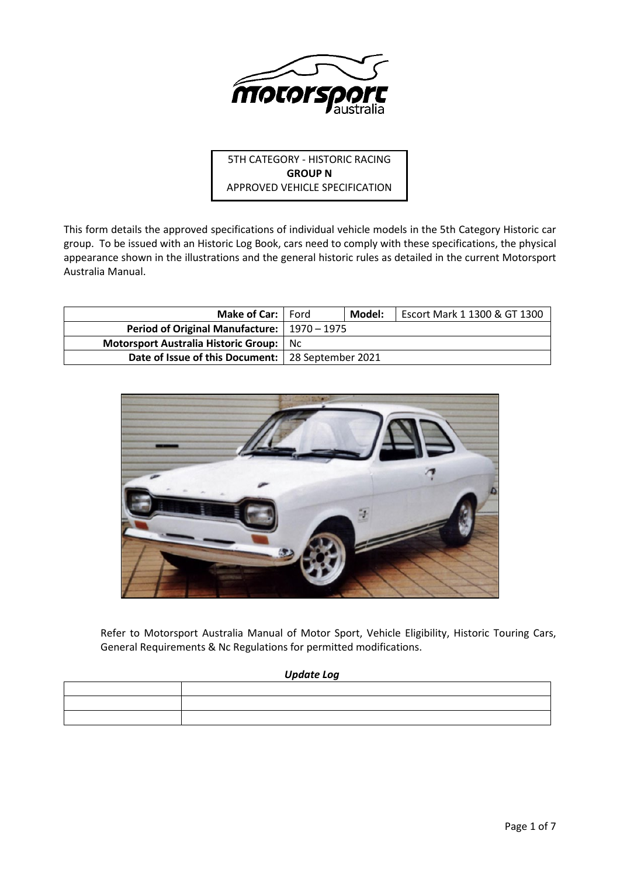

5TH CATEGORY - HISTORIC RACING **GROUP N** APPROVED VEHICLE SPECIFICATION

This form details the approved specifications of individual vehicle models in the 5th Category Historic car group. To be issued with an Historic Log Book, cars need to comply with these specifications, the physical appearance shown in the illustrations and the general historic rules as detailed in the current Motorsport Australia Manual.

| <b>Make of Car:</b>   Ford                          | Model: | Escort Mark 1 1300 & GT 1300 |
|-----------------------------------------------------|--------|------------------------------|
| Period of Original Manufacture:   1970 - 1975       |        |                              |
| <b>Motorsport Australia Historic Group:</b> Nc      |        |                              |
| Date of Issue of this Document:   28 September 2021 |        |                              |



Refer to Motorsport Australia Manual of Motor Sport, Vehicle Eligibility, Historic Touring Cars, General Requirements & Nc Regulations for permitted modifications.

### *Update Log*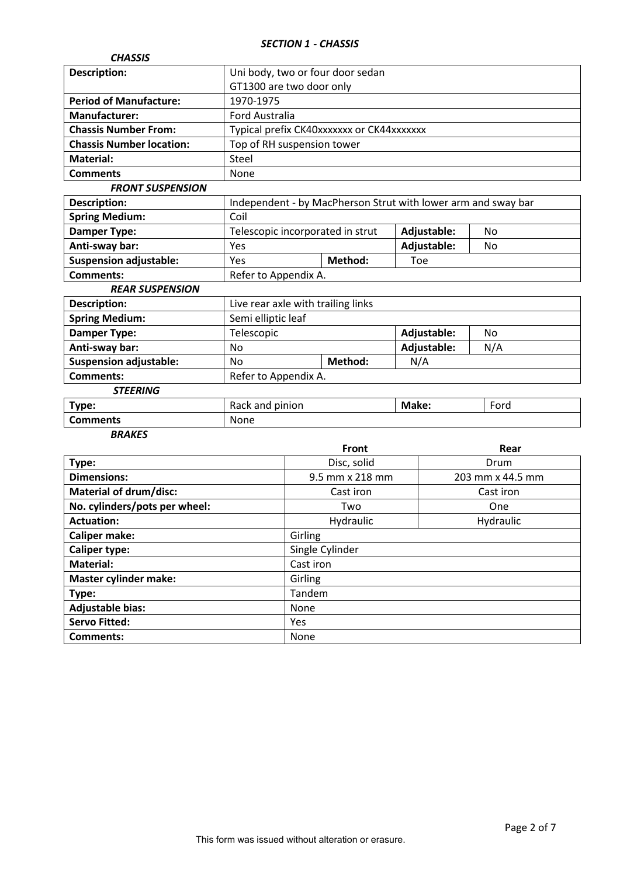# *SECTION 1 - CHASSIS*

| <b>CHASSIS</b>                              |                                    |  |                                           |                                                               |           |
|---------------------------------------------|------------------------------------|--|-------------------------------------------|---------------------------------------------------------------|-----------|
| <b>Description:</b>                         | Uni body, two or four door sedan   |  |                                           |                                                               |           |
|                                             | GT1300 are two door only           |  |                                           |                                                               |           |
| <b>Period of Manufacture:</b>               | 1970-1975                          |  |                                           |                                                               |           |
| <b>Manufacturer:</b>                        | <b>Ford Australia</b>              |  |                                           |                                                               |           |
| <b>Chassis Number From:</b>                 |                                    |  | Typical prefix CK40xxxxxxx or CK44xxxxxxx |                                                               |           |
| <b>Chassis Number location:</b>             | Top of RH suspension tower         |  |                                           |                                                               |           |
| <b>Material:</b>                            | Steel                              |  |                                           |                                                               |           |
| <b>Comments</b>                             | None                               |  |                                           |                                                               |           |
| <b>FRONT SUSPENSION</b>                     |                                    |  |                                           |                                                               |           |
| <b>Description:</b>                         |                                    |  |                                           | Independent - by MacPherson Strut with lower arm and sway bar |           |
| <b>Spring Medium:</b>                       | Coil                               |  |                                           |                                                               |           |
| <b>Damper Type:</b>                         |                                    |  | Telescopic incorporated in strut          | Adjustable:                                                   | No        |
| Anti-sway bar:                              | Yes                                |  |                                           | Adjustable:                                                   | No        |
| <b>Suspension adjustable:</b>               | Yes                                |  | Method:                                   | Toe                                                           |           |
| <b>Comments:</b>                            | Refer to Appendix A.               |  |                                           |                                                               |           |
| <b>REAR SUSPENSION</b>                      |                                    |  |                                           |                                                               |           |
| <b>Description:</b>                         | Live rear axle with trailing links |  |                                           |                                                               |           |
| <b>Spring Medium:</b>                       | Semi elliptic leaf                 |  |                                           |                                                               |           |
| <b>Damper Type:</b>                         | Telescopic                         |  |                                           | Adjustable:                                                   | <b>No</b> |
| Anti-sway bar:                              | No                                 |  |                                           | Adjustable:                                                   | N/A       |
| <b>Suspension adjustable:</b>               | No                                 |  | Method:                                   | N/A                                                           |           |
| <b>Comments:</b>                            | Refer to Appendix A.               |  |                                           |                                                               |           |
| <b>STEERING</b>                             |                                    |  |                                           |                                                               |           |
| Type:                                       | Rack and pinion                    |  |                                           | Make:<br>Ford                                                 |           |
| <b>Comments</b>                             | None                               |  |                                           |                                                               |           |
| <b>BRAKES</b>                               |                                    |  |                                           |                                                               |           |
|                                             |                                    |  | Front                                     |                                                               | Rear      |
| Type:                                       |                                    |  | Disc, solid                               | Drum                                                          |           |
| <b>Dimensions:</b>                          |                                    |  | 9.5 mm x 218 mm                           | 203 mm x 44.5 mm                                              |           |
| <b>Material of drum/disc:</b>               |                                    |  | Cast iron                                 | Cast iron                                                     |           |
| No. cylinders/pots per wheel:<br>Two<br>One |                                    |  |                                           |                                                               |           |
| <b>Actuation:</b>                           |                                    |  | Hydraulic<br>Hydraulic                    |                                                               |           |
| <b>Caliper make:</b>                        | Girling                            |  |                                           |                                                               |           |
| Single Cylinder<br><b>Caliper type:</b>     |                                    |  |                                           |                                                               |           |
| <b>Material:</b>                            | Cast iron                          |  |                                           |                                                               |           |
| <b>Master cylinder make:</b>                | Girling                            |  |                                           |                                                               |           |
| Type:                                       | Tandem                             |  |                                           |                                                               |           |
| <b>Adjustable bias:</b>                     | None                               |  |                                           |                                                               |           |
| <b>Servo Fitted:</b>                        | Yes                                |  |                                           |                                                               |           |
| <b>Comments:</b>                            | None                               |  |                                           |                                                               |           |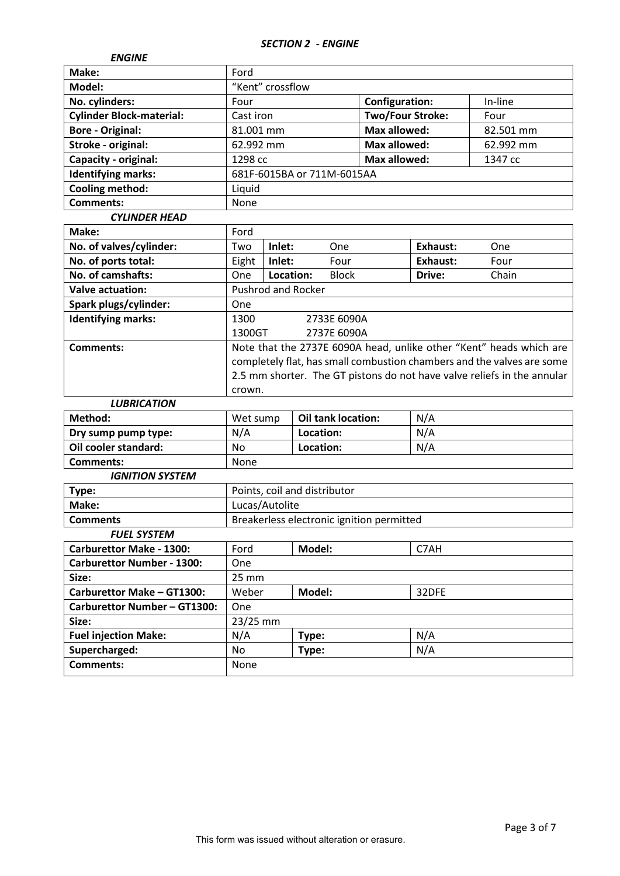## *SECTION 2 - ENGINE*

| <b>ENGINE</b>                   |                            |                         |           |
|---------------------------------|----------------------------|-------------------------|-----------|
| Make:                           | Ford                       |                         |           |
| Model:                          | "Kent" crossflow           |                         |           |
| No. cylinders:                  | Four                       | <b>Configuration:</b>   | In-line   |
| <b>Cylinder Block-material:</b> | Cast iron                  | <b>Two/Four Stroke:</b> | Four      |
| <b>Bore - Original:</b>         | 81.001 mm                  | <b>Max allowed:</b>     | 82.501 mm |
| Stroke - original:              | 62.992 mm                  | Max allowed:            | 62.992 mm |
| Capacity - original:            | 1298 cc                    | Max allowed:            | 1347 cc   |
| <b>Identifying marks:</b>       | 681F-6015BA or 711M-6015AA |                         |           |
| <b>Cooling method:</b>          | Liquid                     |                         |           |
| <b>Comments:</b>                | None                       |                         |           |
| <b>CYLINDER HEAD</b>            |                            |                         |           |

| Make:                      | Ford                                                                                                                                                                                                                               |                           |              |          |            |
|----------------------------|------------------------------------------------------------------------------------------------------------------------------------------------------------------------------------------------------------------------------------|---------------------------|--------------|----------|------------|
| No. of valves/cylinder:    | Two                                                                                                                                                                                                                                | Inlet:                    | One          | Exhaust: | <b>One</b> |
| No. of ports total:        | Eight                                                                                                                                                                                                                              | Inlet:                    | Four         | Exhaust: | Four       |
| <b>No. of camshafts:</b>   | <b>One</b>                                                                                                                                                                                                                         | Location:                 | <b>Block</b> | Drive:   | Chain      |
| Valve actuation:           |                                                                                                                                                                                                                                    | <b>Pushrod and Rocker</b> |              |          |            |
| Spark plugs/cylinder:      | One                                                                                                                                                                                                                                |                           |              |          |            |
| <b>Identifying marks:</b>  | 1300                                                                                                                                                                                                                               |                           | 2733E 6090A  |          |            |
|                            | 1300GT                                                                                                                                                                                                                             |                           | 2737E 6090A  |          |            |
| Comments:                  | Note that the 2737E 6090A head, unlike other "Kent" heads which are<br>completely flat, has small combustion chambers and the valves are some<br>2.5 mm shorter. The GT pistons do not have valve reliefs in the annular<br>crown. |                           |              |          |            |
| <i><b>I HRDICATION</b></i> |                                                                                                                                                                                                                                    |                           |              |          |            |

| LUDRICA HUN                       |                                           |                              |       |  |  |
|-----------------------------------|-------------------------------------------|------------------------------|-------|--|--|
| Method:                           | Wet sump                                  | <b>Oil tank location:</b>    | N/A   |  |  |
| Dry sump pump type:               | N/A                                       | Location:                    | N/A   |  |  |
| Oil cooler standard:              | No.                                       | Location:                    | N/A   |  |  |
| <b>Comments:</b>                  | None                                      |                              |       |  |  |
| <b>IGNITION SYSTEM</b>            |                                           |                              |       |  |  |
| Type:                             |                                           | Points, coil and distributor |       |  |  |
| Make:                             | Lucas/Autolite                            |                              |       |  |  |
| <b>Comments</b>                   | Breakerless electronic ignition permitted |                              |       |  |  |
| <b>FUEL SYSTEM</b>                |                                           |                              |       |  |  |
| <b>Carburettor Make - 1300:</b>   | Ford                                      | Model:                       | C7AH  |  |  |
| <b>Carburettor Number - 1300:</b> | One                                       |                              |       |  |  |
| Size:                             | $25 \, \text{mm}$                         |                              |       |  |  |
| Carburettor Make - GT1300:        | Weber                                     | Model:                       | 32DFE |  |  |
| Carburettor Number - GT1300:      | One                                       |                              |       |  |  |
| Size:                             | 23/25 mm                                  |                              |       |  |  |
| <b>Fuel injection Make:</b>       | N/A                                       | Type:                        | N/A   |  |  |
| Supercharged:                     | No                                        | Type:                        | N/A   |  |  |
| <b>Comments:</b>                  | None                                      |                              |       |  |  |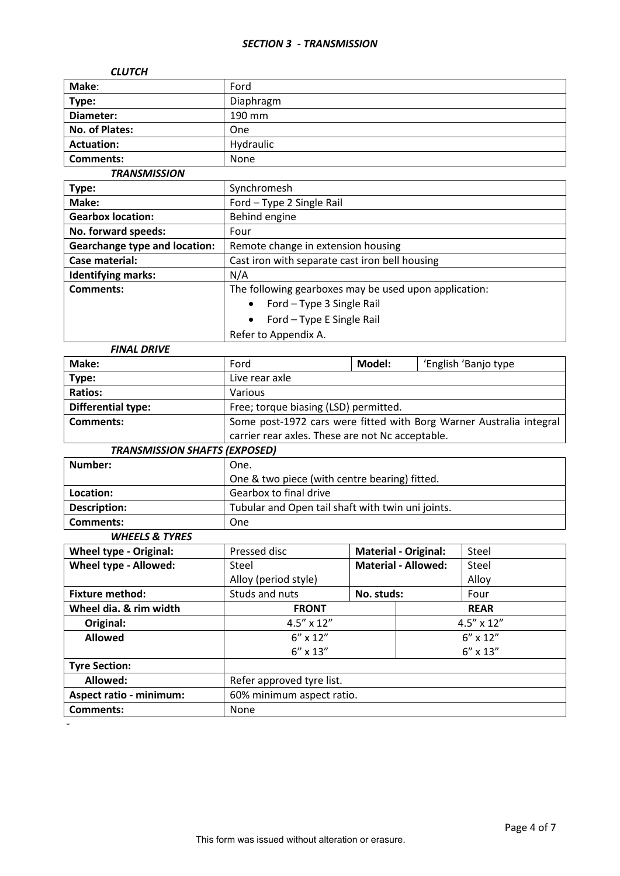## *SECTION 3 - TRANSMISSION*

| <b>CLUTCH</b>                        |                                                                     |            |                             |                      |  |
|--------------------------------------|---------------------------------------------------------------------|------------|-----------------------------|----------------------|--|
| Make:                                | Ford                                                                |            |                             |                      |  |
| Type:                                | Diaphragm                                                           |            |                             |                      |  |
| Diameter:                            | 190 mm                                                              |            |                             |                      |  |
| No. of Plates:                       | One                                                                 |            |                             |                      |  |
| <b>Actuation:</b>                    | Hydraulic                                                           |            |                             |                      |  |
| <b>Comments:</b>                     | None                                                                |            |                             |                      |  |
| <b>TRANSMISSION</b>                  |                                                                     |            |                             |                      |  |
| Type:                                | Synchromesh                                                         |            |                             |                      |  |
| Make:                                | Ford - Type 2 Single Rail                                           |            |                             |                      |  |
| <b>Gearbox location:</b>             | Behind engine                                                       |            |                             |                      |  |
| No. forward speeds:                  | Four                                                                |            |                             |                      |  |
| <b>Gearchange type and location:</b> | Remote change in extension housing                                  |            |                             |                      |  |
| Case material:                       | Cast iron with separate cast iron bell housing                      |            |                             |                      |  |
| <b>Identifying marks:</b>            | N/A                                                                 |            |                             |                      |  |
| Comments:                            | The following gearboxes may be used upon application:               |            |                             |                      |  |
|                                      | Ford - Type 3 Single Rail                                           |            |                             |                      |  |
|                                      | Ford - Type E Single Rail                                           |            |                             |                      |  |
|                                      | Refer to Appendix A.                                                |            |                             |                      |  |
| <b>FINAL DRIVE</b>                   |                                                                     |            |                             |                      |  |
| Make:                                | Ford                                                                | Model:     |                             | 'English 'Banjo type |  |
| Type:                                | Live rear axle                                                      |            |                             |                      |  |
| <b>Ratios:</b>                       | Various                                                             |            |                             |                      |  |
| <b>Differential type:</b>            | Free; torque biasing (LSD) permitted.                               |            |                             |                      |  |
| <b>Comments:</b>                     | Some post-1972 cars were fitted with Borg Warner Australia integral |            |                             |                      |  |
|                                      | carrier rear axles. These are not Nc acceptable.                    |            |                             |                      |  |
| <b>TRANSMISSION SHAFTS (EXPOSED)</b> |                                                                     |            |                             |                      |  |
| Number:                              | One.                                                                |            |                             |                      |  |
|                                      | One & two piece (with centre bearing) fitted.                       |            |                             |                      |  |
| Location:                            | Gearbox to final drive                                              |            |                             |                      |  |
| <b>Description:</b>                  | Tubular and Open tail shaft with twin uni joints.                   |            |                             |                      |  |
| Comments:                            | One                                                                 |            |                             |                      |  |
| <b>WHEELS &amp; TYRES</b>            |                                                                     |            |                             |                      |  |
| <b>Wheel type - Original:</b>        | Pressed disc                                                        |            | <b>Material - Original:</b> | Steel                |  |
| Wheel type - Allowed:                | <b>Steel</b>                                                        |            | <b>Material - Allowed:</b>  | Steel                |  |
|                                      | Alloy (period style)                                                |            |                             | Alloy                |  |
| <b>Fixture method:</b>               | Studs and nuts                                                      | No. studs: |                             | Four                 |  |
| Wheel dia. & rim width               | <b>FRONT</b><br><b>REAR</b>                                         |            |                             |                      |  |
| Original:                            | 4.5" x 12"<br>4.5" x 12"                                            |            |                             |                      |  |
| <b>Allowed</b>                       | $6'' \times 12''$<br>$6''$ x $12''$                                 |            |                             |                      |  |
|                                      | $6''\times13''$<br>6" x 13"                                         |            |                             |                      |  |
| <b>Tyre Section:</b>                 |                                                                     |            |                             |                      |  |
| Allowed:                             | Refer approved tyre list.                                           |            |                             |                      |  |
| <b>Aspect ratio - minimum:</b>       | 60% minimum aspect ratio.                                           |            |                             |                      |  |
| <b>Comments:</b>                     | None                                                                |            |                             |                      |  |

-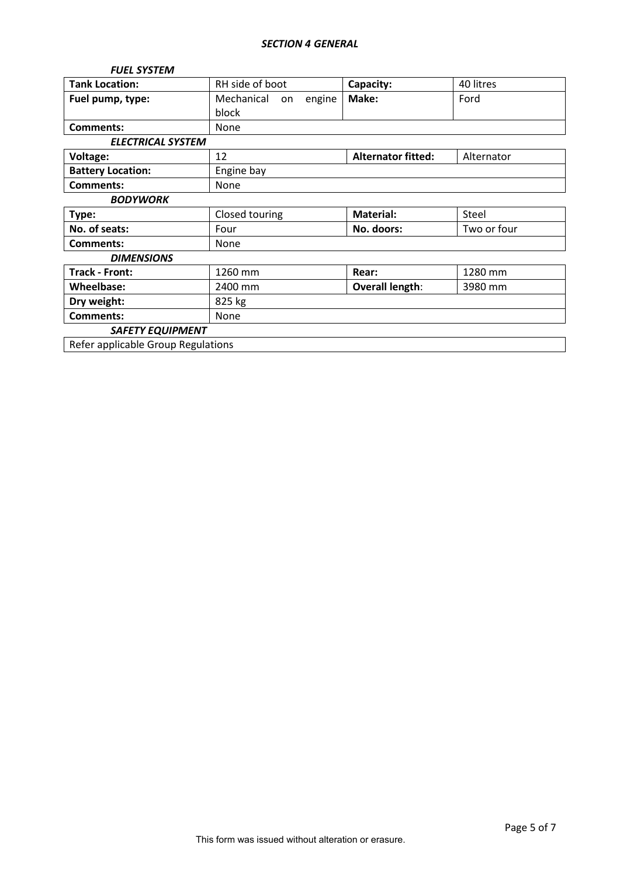# *SECTION 4 GENERAL*

| <b>FUEL SYSTEM</b>                 |                            |                           |             |  |  |  |
|------------------------------------|----------------------------|---------------------------|-------------|--|--|--|
| <b>Tank Location:</b>              | RH side of boot            | Capacity:                 | 40 litres   |  |  |  |
| Fuel pump, type:                   | Mechanical<br>engine<br>on | Make:                     | Ford        |  |  |  |
|                                    | block                      |                           |             |  |  |  |
| Comments:                          | None                       |                           |             |  |  |  |
| <b>ELECTRICAL SYSTEM</b>           |                            |                           |             |  |  |  |
| Voltage:                           | 12                         | <b>Alternator fitted:</b> | Alternator  |  |  |  |
| <b>Battery Location:</b>           | Engine bay                 |                           |             |  |  |  |
| <b>Comments:</b>                   | None                       |                           |             |  |  |  |
| <b>BODYWORK</b>                    |                            |                           |             |  |  |  |
| Type:                              | Closed touring             | <b>Material:</b>          | Steel       |  |  |  |
| No. of seats:                      | Four                       | No. doors:                | Two or four |  |  |  |
| <b>Comments:</b>                   | None                       |                           |             |  |  |  |
| <b>DIMENSIONS</b>                  |                            |                           |             |  |  |  |
| <b>Track - Front:</b>              | 1260 mm                    | Rear:                     | 1280 mm     |  |  |  |
| Wheelbase:                         | 2400 mm                    | <b>Overall length:</b>    | 3980 mm     |  |  |  |
| Dry weight:                        | 825 kg                     |                           |             |  |  |  |
| <b>Comments:</b>                   | None                       |                           |             |  |  |  |
| <b>SAFETY EQUIPMENT</b>            |                            |                           |             |  |  |  |
| Refer applicable Group Regulations |                            |                           |             |  |  |  |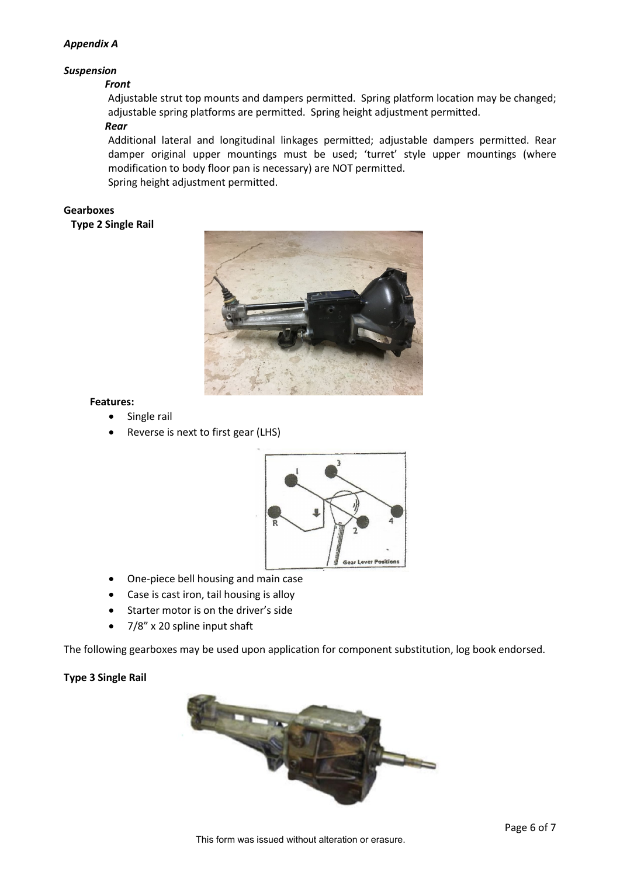## *Appendix A*

# *Suspension*

#### *Front*

Adjustable strut top mounts and dampers permitted. Spring platform location may be changed; adjustable spring platforms are permitted. Spring height adjustment permitted.

# *Rear*

Additional lateral and longitudinal linkages permitted; adjustable dampers permitted. Rear damper original upper mountings must be used; 'turret' style upper mountings (where modification to body floor pan is necessary) are NOT permitted.

Spring height adjustment permitted.

## **Gearboxes**

**Type 2 Single Rail**



### **Features:**

- Single rail
- Reverse is next to first gear (LHS)



- One-piece bell housing and main case
- Case is cast iron, tail housing is alloy
- Starter motor is on the driver's side
- 7/8" x 20 spline input shaft

The following gearboxes may be used upon application for component substitution, log book endorsed.

### **Type 3 Single Rail**